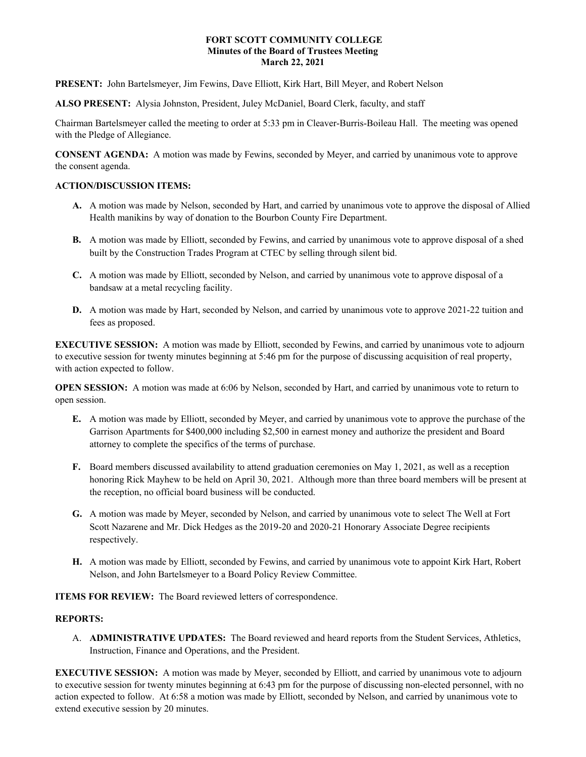## **FORT SCOTT COMMUNITY COLLEGE Minutes of the Board of Trustees Meeting March 22, 2021**

**PRESENT:** John Bartelsmeyer, Jim Fewins, Dave Elliott, Kirk Hart, Bill Meyer, and Robert Nelson

**ALSO PRESENT:** Alysia Johnston, President, Juley McDaniel, Board Clerk, faculty, and staff

Chairman Bartelsmeyer called the meeting to order at 5:33 pm in Cleaver-Burris-Boileau Hall. The meeting was opened with the Pledge of Allegiance.

**CONSENT AGENDA:** A motion was made by Fewins, seconded by Meyer, and carried by unanimous vote to approve the consent agenda.

## **ACTION/DISCUSSION ITEMS:**

- **A.** A motion was made by Nelson, seconded by Hart, and carried by unanimous vote to approve the disposal of Allied Health manikins by way of donation to the Bourbon County Fire Department.
- **B.** A motion was made by Elliott, seconded by Fewins, and carried by unanimous vote to approve disposal of a shed built by the Construction Trades Program at CTEC by selling through silent bid.
- **C.** A motion was made by Elliott, seconded by Nelson, and carried by unanimous vote to approve disposal of a bandsaw at a metal recycling facility.
- **D.** A motion was made by Hart, seconded by Nelson, and carried by unanimous vote to approve 2021-22 tuition and fees as proposed.

**EXECUTIVE SESSION:** A motion was made by Elliott, seconded by Fewins, and carried by unanimous vote to adjourn to executive session for twenty minutes beginning at 5:46 pm for the purpose of discussing acquisition of real property, with action expected to follow.

**OPEN SESSION:** A motion was made at 6:06 by Nelson, seconded by Hart, and carried by unanimous vote to return to open session.

- **E.** A motion was made by Elliott, seconded by Meyer, and carried by unanimous vote to approve the purchase of the Garrison Apartments for \$400,000 including \$2,500 in earnest money and authorize the president and Board attorney to complete the specifics of the terms of purchase.
- **F.** Board members discussed availability to attend graduation ceremonies on May 1, 2021, as well as a reception honoring Rick Mayhew to be held on April 30, 2021. Although more than three board members will be present at the reception, no official board business will be conducted.
- **G.** A motion was made by Meyer, seconded by Nelson, and carried by unanimous vote to select The Well at Fort Scott Nazarene and Mr. Dick Hedges as the 2019-20 and 2020-21 Honorary Associate Degree recipients respectively.
- **H.** A motion was made by Elliott, seconded by Fewins, and carried by unanimous vote to appoint Kirk Hart, Robert Nelson, and John Bartelsmeyer to a Board Policy Review Committee.

**ITEMS FOR REVIEW:** The Board reviewed letters of correspondence.

## **REPORTS:**

A. **ADMINISTRATIVE UPDATES:** The Board reviewed and heard reports from the Student Services, Athletics, Instruction, Finance and Operations, and the President.

**EXECUTIVE SESSION:** A motion was made by Meyer, seconded by Elliott, and carried by unanimous vote to adjourn to executive session for twenty minutes beginning at 6:43 pm for the purpose of discussing non-elected personnel, with no action expected to follow. At 6:58 a motion was made by Elliott, seconded by Nelson, and carried by unanimous vote to extend executive session by 20 minutes.